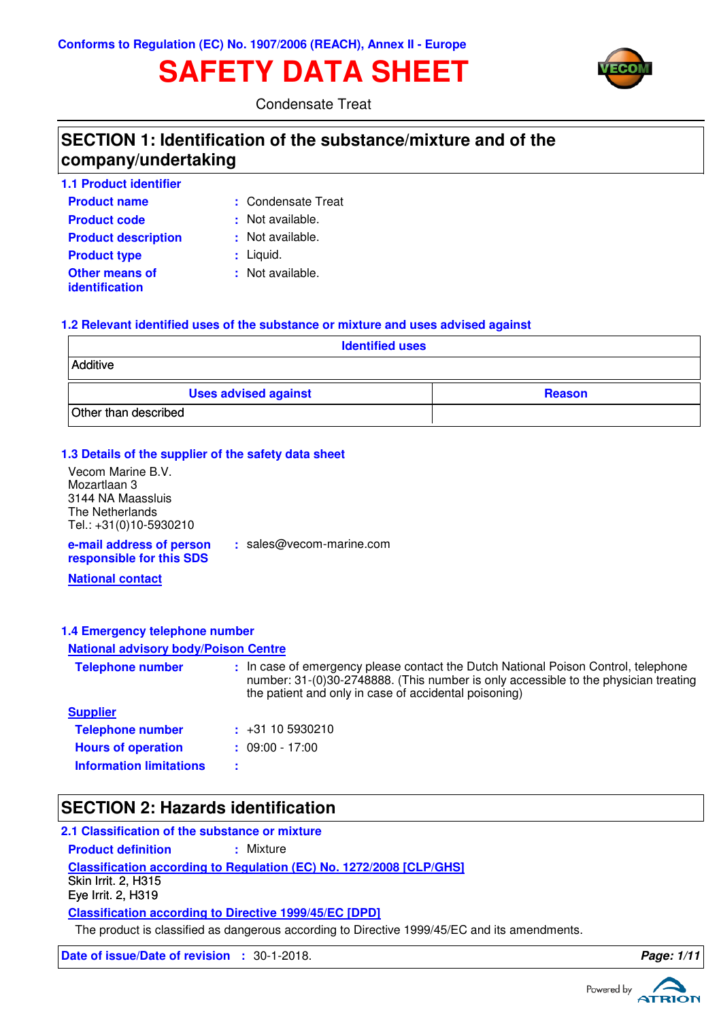# **SAFETY DATA SHEET**



Condensate Treat

# **SECTION 1: Identification of the substance/mixture and of the company/undertaking**

| <b>1.1 Product identifier</b>           |                    |
|-----------------------------------------|--------------------|
| <b>Product name</b>                     | : Condensate Treat |
| <b>Product code</b>                     | : Not available.   |
| <b>Product description</b>              | : Not available.   |
| <b>Product type</b>                     | $:$ Liquid.        |
| <b>Other means of</b><br>identification | : Not available.   |

### **1.2 Relevant identified uses of the substance or mixture and uses advised against**

| <b>Identified uses</b>      |               |  |  |  |
|-----------------------------|---------------|--|--|--|
| Additive                    |               |  |  |  |
| <b>Uses advised against</b> | <b>Reason</b> |  |  |  |
| Other than described        |               |  |  |  |

### **1.3 Details of the supplier of the safety data sheet**

**e-mail address of person** Vecom Marine B.V. Mozartlaan 3 3144 NA Maassluis The Netherlands Tel.: +31(0)10-5930210

**:** sales@vecom-marine.com

**responsible for this SDS**

**National contact**

### **1.4 Emergency telephone number**

#### **National advisory body/Poison Centre**

| <b>Telephone number</b>        | : In case of emergency please contact the Dutch National Poison Control, telephone<br>number: 31-(0)30-2748888. (This number is only accessible to the physician treating<br>the patient and only in case of accidental poisoning) |
|--------------------------------|------------------------------------------------------------------------------------------------------------------------------------------------------------------------------------------------------------------------------------|
| <b>Supplier</b>                |                                                                                                                                                                                                                                    |
| <b>Telephone number</b>        | $\div$ +31 10 5930210                                                                                                                                                                                                              |
| <b>Hours of operation</b>      | $: 09:00 - 17:00$                                                                                                                                                                                                                  |
| <b>Information limitations</b> |                                                                                                                                                                                                                                    |

# **SECTION 2: Hazards identification**

### **2.1 Classification of the substance or mixture**

**Classification according to Regulation (EC) No. 1272/2008 [CLP/GHS] Product definition : Mixture Classification according to Directive 1999/45/EC [DPD]** Skin Irrit. 2, H315 Eye Irrit. 2, H319

The product is classified as dangerous according to Directive 1999/45/EC and its amendments.

**Date of issue/Date of revision :** 30-1-2018. **Page: 1/1 Page: 1/1** 

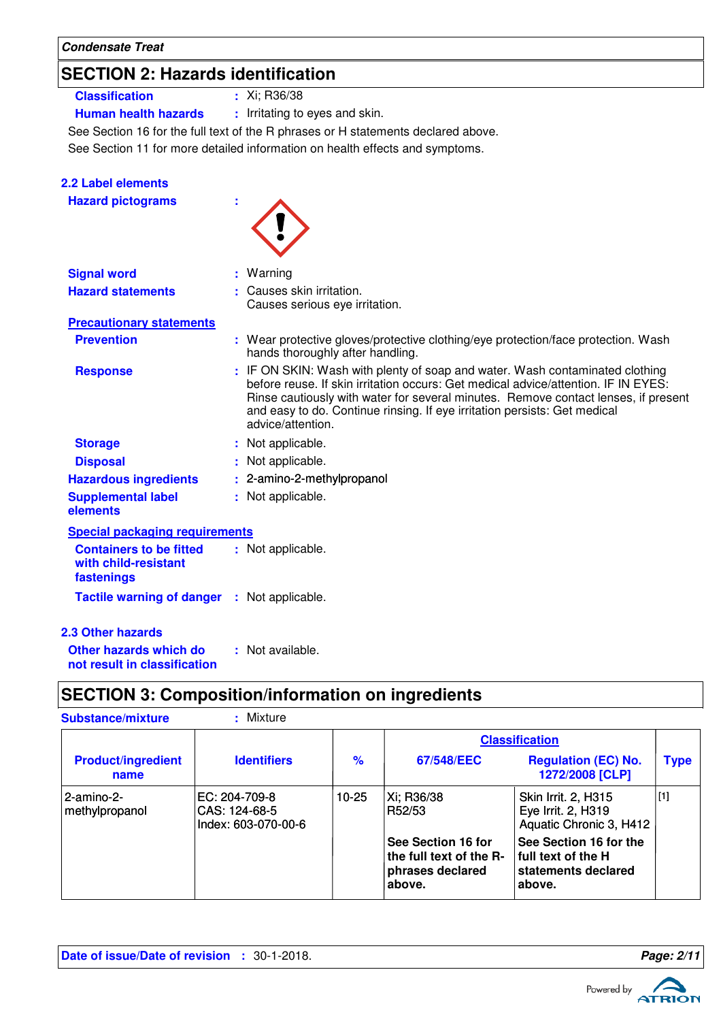**Condensate Treat**

**2.2 Label elements**

# **SECTION 2: Hazards identification**

- **Classification :** Xi; R36/38
	-

**Human health hazards :** Irritating to eyes and skin.

See Section 16 for the full text of the R phrases or H statements declared above.

See Section 11 for more detailed information on health effects and symptoms.

| <b>Hazard pictograms</b>                                             | t |                                                                                                                                                                                                                                                                                                                                                            |
|----------------------------------------------------------------------|---|------------------------------------------------------------------------------------------------------------------------------------------------------------------------------------------------------------------------------------------------------------------------------------------------------------------------------------------------------------|
| <b>Signal word</b>                                                   |   | Warning                                                                                                                                                                                                                                                                                                                                                    |
| <b>Hazard statements</b>                                             |   | Causes skin irritation.<br>Causes serious eye irritation.                                                                                                                                                                                                                                                                                                  |
| <b>Precautionary statements</b>                                      |   |                                                                                                                                                                                                                                                                                                                                                            |
| <b>Prevention</b>                                                    |   | : Wear protective gloves/protective clothing/eye protection/face protection. Wash<br>hands thoroughly after handling.                                                                                                                                                                                                                                      |
| <b>Response</b>                                                      |   | : IF ON SKIN: Wash with plenty of soap and water. Wash contaminated clothing<br>before reuse. If skin irritation occurs: Get medical advice/attention. IF IN EYES:<br>Rinse cautiously with water for several minutes. Remove contact lenses, if present<br>and easy to do. Continue rinsing. If eye irritation persists: Get medical<br>advice/attention. |
| <b>Storage</b>                                                       |   | : Not applicable.                                                                                                                                                                                                                                                                                                                                          |
| <b>Disposal</b>                                                      |   | Not applicable.                                                                                                                                                                                                                                                                                                                                            |
| <b>Hazardous ingredients</b>                                         |   | : 2-amino-2-methylpropanol                                                                                                                                                                                                                                                                                                                                 |
| <b>Supplemental label</b><br>elements                                |   | : Not applicable.                                                                                                                                                                                                                                                                                                                                          |
| <b>Special packaging requirements</b>                                |   |                                                                                                                                                                                                                                                                                                                                                            |
| <b>Containers to be fitted</b><br>with child-resistant<br>fastenings |   | : Not applicable.                                                                                                                                                                                                                                                                                                                                          |
| <b>Tactile warning of danger : Not applicable.</b>                   |   |                                                                                                                                                                                                                                                                                                                                                            |
| <b>2.3 Other hazards</b>                                             |   |                                                                                                                                                                                                                                                                                                                                                            |
| Other hazards which do                                               |   | : Not available.                                                                                                                                                                                                                                                                                                                                           |

**not result in classification**

# **SECTION 3: Composition/information on ingredients**

| <b>Substance/mixture</b>          | : Mixture                                             |               |                                                                             |                                                                                 |             |
|-----------------------------------|-------------------------------------------------------|---------------|-----------------------------------------------------------------------------|---------------------------------------------------------------------------------|-------------|
|                                   |                                                       |               | <b>Classification</b>                                                       |                                                                                 |             |
| <b>Product/ingredient</b><br>name | <b>Identifiers</b>                                    | $\frac{9}{6}$ | 67/548/EEC                                                                  | <b>Regulation (EC) No.</b><br>1272/2008 [CLP]                                   | <b>Type</b> |
| l 2-amino-2-<br>methylpropanol    | EC: 204-709-8<br>CAS: 124-68-5<br>Index: 603-070-00-6 | 10-25         | Xi; R36/38<br>R52/53                                                        | <b>Skin Irrit. 2, H315</b><br>Eye Irrit. 2, H319<br>Aquatic Chronic 3, H412     | $[1]$       |
|                                   |                                                       |               | See Section 16 for<br>the full text of the R-<br>phrases declared<br>above. | See Section 16 for the<br>l full text of the H<br>statements declared<br>above. |             |

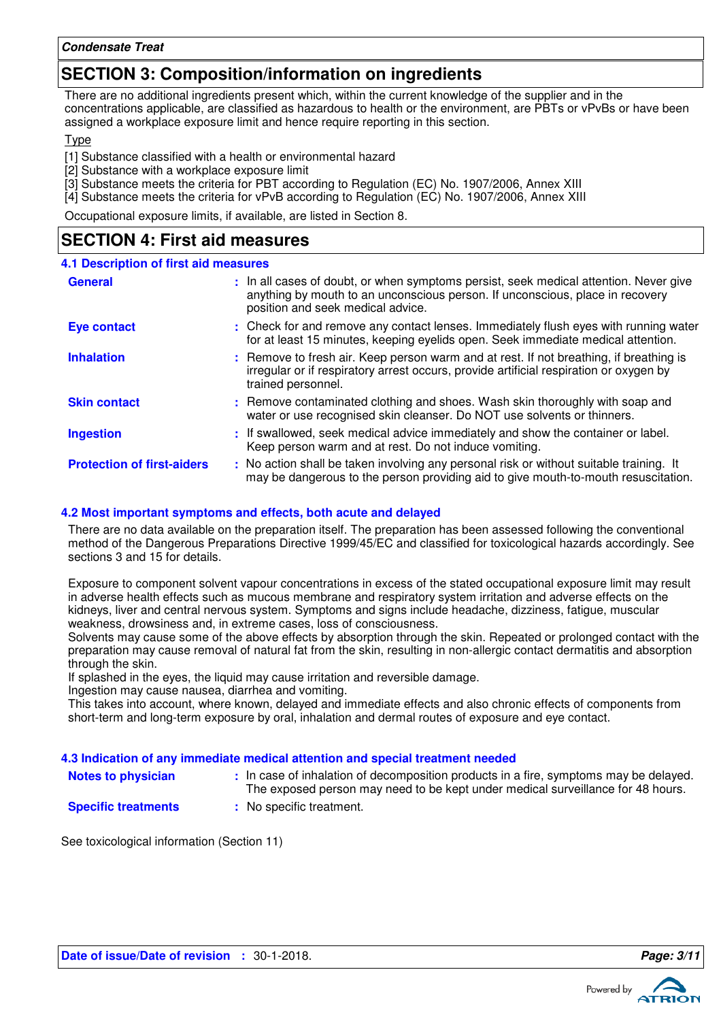# **SECTION 3: Composition/information on ingredients**

There are no additional ingredients present which, within the current knowledge of the supplier and in the concentrations applicable, are classified as hazardous to health or the environment, are PBTs or vPvBs or have been assigned a workplace exposure limit and hence require reporting in this section.

**T**<sub>vpe</sub>

[1] Substance classified with a health or environmental hazard

[2] Substance with a workplace exposure limit

[3] Substance meets the criteria for PBT according to Regulation (EC) No. 1907/2006, Annex XIII

[4] Substance meets the criteria for vPvB according to Regulation (EC) No. 1907/2006, Annex XIII

Occupational exposure limits, if available, are listed in Section 8.

# **SECTION 4: First aid measures**

| <b>4.1 Description of first aid measures</b> |                                                                                                                                                                                                             |
|----------------------------------------------|-------------------------------------------------------------------------------------------------------------------------------------------------------------------------------------------------------------|
| <b>General</b>                               | : In all cases of doubt, or when symptoms persist, seek medical attention. Never give<br>anything by mouth to an unconscious person. If unconscious, place in recovery<br>position and seek medical advice. |
| <b>Eye contact</b>                           | : Check for and remove any contact lenses. Immediately flush eyes with running water<br>for at least 15 minutes, keeping eyelids open. Seek immediate medical attention.                                    |
| <b>Inhalation</b>                            | : Remove to fresh air. Keep person warm and at rest. If not breathing, if breathing is<br>irregular or if respiratory arrest occurs, provide artificial respiration or oxygen by<br>trained personnel.      |
| <b>Skin contact</b>                          | : Remove contaminated clothing and shoes. Wash skin thoroughly with soap and<br>water or use recognised skin cleanser. Do NOT use solvents or thinners.                                                     |
| <b>Ingestion</b>                             | : If swallowed, seek medical advice immediately and show the container or label.<br>Keep person warm and at rest. Do not induce vomiting.                                                                   |
| <b>Protection of first-aiders</b>            | : No action shall be taken involving any personal risk or without suitable training. It<br>may be dangerous to the person providing aid to give mouth-to-mouth resuscitation.                               |

### **4.2 Most important symptoms and effects, both acute and delayed**

There are no data available on the preparation itself. The preparation has been assessed following the conventional method of the Dangerous Preparations Directive 1999/45/EC and classified for toxicological hazards accordingly. See sections 3 and 15 for details.

Exposure to component solvent vapour concentrations in excess of the stated occupational exposure limit may result in adverse health effects such as mucous membrane and respiratory system irritation and adverse effects on the kidneys, liver and central nervous system. Symptoms and signs include headache, dizziness, fatigue, muscular weakness, drowsiness and, in extreme cases, loss of consciousness.

Solvents may cause some of the above effects by absorption through the skin. Repeated or prolonged contact with the preparation may cause removal of natural fat from the skin, resulting in non-allergic contact dermatitis and absorption through the skin.

If splashed in the eyes, the liquid may cause irritation and reversible damage.

Ingestion may cause nausea, diarrhea and vomiting.

This takes into account, where known, delayed and immediate effects and also chronic effects of components from short-term and long-term exposure by oral, inhalation and dermal routes of exposure and eye contact.

### **4.3 Indication of any immediate medical attention and special treatment needed**

**Notes to physician In case of inhalation of decomposition products in a fire, symptoms may be delayed.** The exposed person may need to be kept under medical surveillance for 48 hours.

- **Specific treatments**
- **:** No specific treatment.

See toxicological information (Section 11)

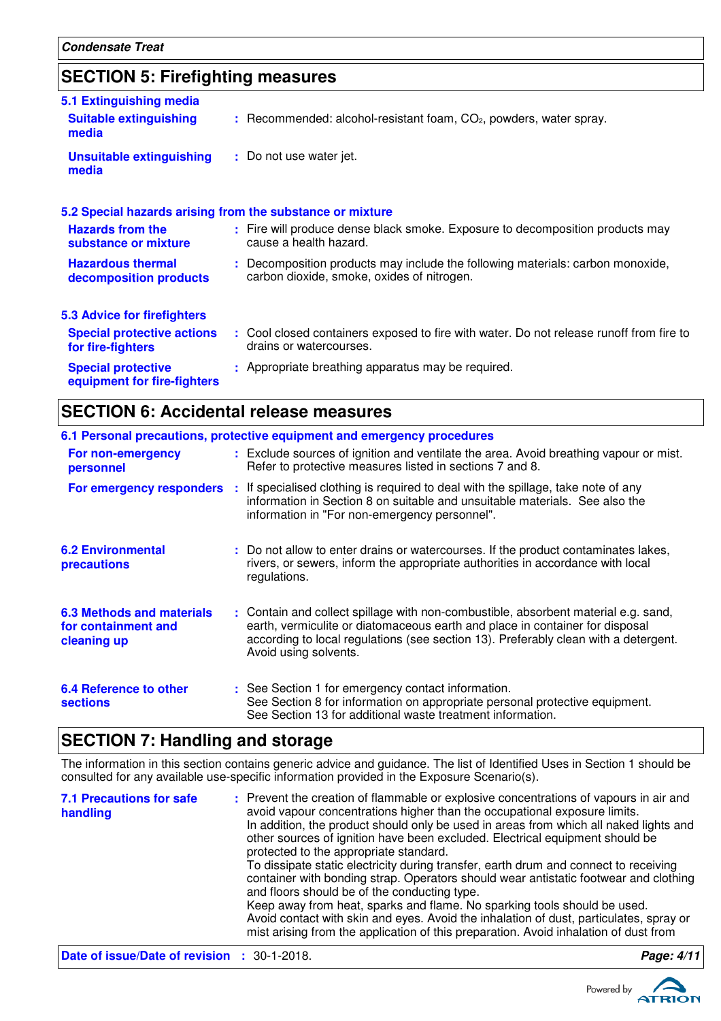# **SECTION 5: Firefighting measures**

| 5.1 Extinguishing media<br><b>Suitable extinguishing</b>  | $:$ Recommended: alcohol-resistant foam, $CO2$ , powders, water spray.                                                       |
|-----------------------------------------------------------|------------------------------------------------------------------------------------------------------------------------------|
| media                                                     |                                                                                                                              |
| <b>Unsuitable extinguishing</b><br>media                  | : Do not use water jet.                                                                                                      |
| 5.2 Special hazards arising from the substance or mixture |                                                                                                                              |
| <b>Hazards from the</b><br>substance or mixture           | : Fire will produce dense black smoke. Exposure to decomposition products may<br>cause a health hazard.                      |
| <b>Hazardous thermal</b><br>decomposition products        | : Decomposition products may include the following materials: carbon monoxide,<br>carbon dioxide, smoke, oxides of nitrogen. |
| 5.3 Advice for firefighters                               |                                                                                                                              |
| <b>Special protective actions</b><br>for fire-fighters    | : Cool closed containers exposed to fire with water. Do not release runoff from fire to<br>drains or watercourses.           |
| <b>Special protective</b><br>equipment for fire-fighters  | : Appropriate breathing apparatus may be required.                                                                           |

# **SECTION 6: Accidental release measures**

|                                                                        | 6.1 Personal precautions, protective equipment and emergency procedures                                                                                                                                                                                                            |
|------------------------------------------------------------------------|------------------------------------------------------------------------------------------------------------------------------------------------------------------------------------------------------------------------------------------------------------------------------------|
| For non-emergency<br>personnel                                         | : Exclude sources of ignition and ventilate the area. Avoid breathing vapour or mist.<br>Refer to protective measures listed in sections 7 and 8.                                                                                                                                  |
|                                                                        | For emergency responders : If specialised clothing is required to deal with the spillage, take note of any<br>information in Section 8 on suitable and unsuitable materials. See also the<br>information in "For non-emergency personnel".                                         |
| <b>6.2 Environmental</b><br>precautions                                | : Do not allow to enter drains or watercourses. If the product contaminates lakes,<br>rivers, or sewers, inform the appropriate authorities in accordance with local<br>regulations.                                                                                               |
| <b>6.3 Methods and materials</b><br>for containment and<br>cleaning up | : Contain and collect spillage with non-combustible, absorbent material e.g. sand,<br>earth, vermiculite or diatomaceous earth and place in container for disposal<br>according to local regulations (see section 13). Preferably clean with a detergent.<br>Avoid using solvents. |
| 6.4 Reference to other<br><b>sections</b>                              | : See Section 1 for emergency contact information.<br>See Section 8 for information on appropriate personal protective equipment.<br>See Section 13 for additional waste treatment information.                                                                                    |

### **SECTION 7: Handling and storage**

The information in this section contains generic advice and guidance. The list of Identified Uses in Section 1 should be consulted for any available use-specific information provided in the Exposure Scenario(s).

| <b>7.1 Precautions for safe</b><br>handling        | : Prevent the creation of flammable or explosive concentrations of vapours in air and<br>avoid vapour concentrations higher than the occupational exposure limits.<br>In addition, the product should only be used in areas from which all naked lights and<br>other sources of ignition have been excluded. Electrical equipment should be<br>protected to the appropriate standard.<br>To dissipate static electricity during transfer, earth drum and connect to receiving<br>container with bonding strap. Operators should wear antistatic footwear and clothing<br>and floors should be of the conducting type.<br>Keep away from heat, sparks and flame. No sparking tools should be used.<br>Avoid contact with skin and eyes. Avoid the inhalation of dust, particulates, spray or<br>mist arising from the application of this preparation. Avoid inhalation of dust from |            |
|----------------------------------------------------|-------------------------------------------------------------------------------------------------------------------------------------------------------------------------------------------------------------------------------------------------------------------------------------------------------------------------------------------------------------------------------------------------------------------------------------------------------------------------------------------------------------------------------------------------------------------------------------------------------------------------------------------------------------------------------------------------------------------------------------------------------------------------------------------------------------------------------------------------------------------------------------|------------|
| <b>Date of issue/Date of revision : 30-1-2018.</b> |                                                                                                                                                                                                                                                                                                                                                                                                                                                                                                                                                                                                                                                                                                                                                                                                                                                                                     | Page: 4/11 |

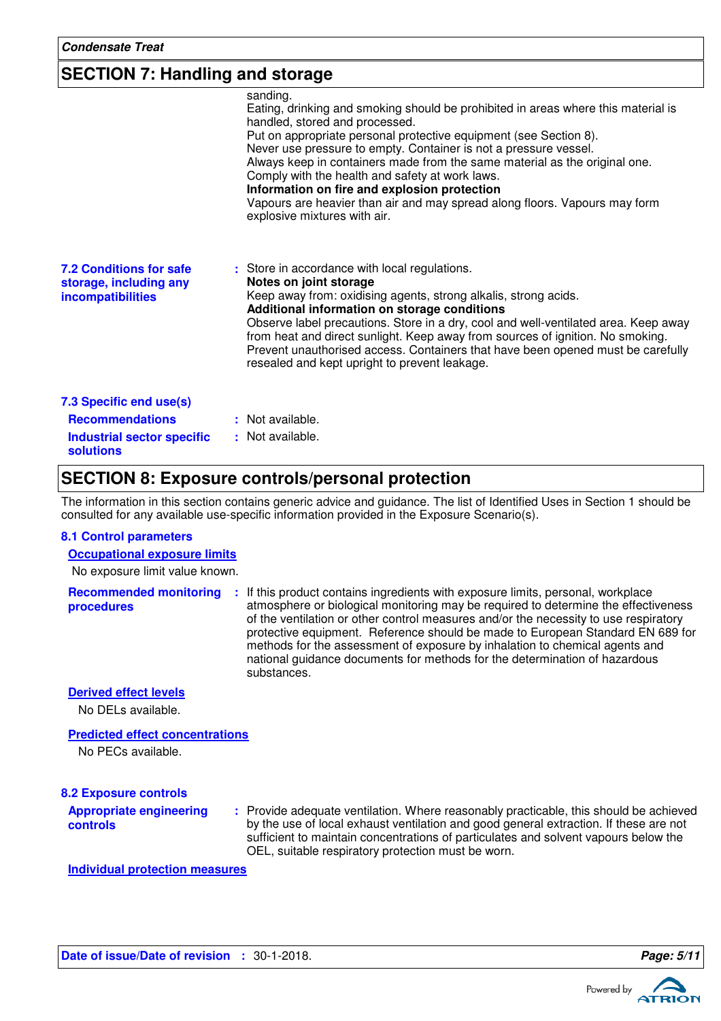### **SECTION 7: Handling and storage**

|                                                                                                     | sanding.<br>Eating, drinking and smoking should be prohibited in areas where this material is<br>handled, stored and processed.<br>Put on appropriate personal protective equipment (see Section 8).<br>Never use pressure to empty. Container is not a pressure vessel.<br>Always keep in containers made from the same material as the original one.<br>Comply with the health and safety at work laws.<br>Information on fire and explosion protection<br>Vapours are heavier than air and may spread along floors. Vapours may form<br>explosive mixtures with air. |
|-----------------------------------------------------------------------------------------------------|-------------------------------------------------------------------------------------------------------------------------------------------------------------------------------------------------------------------------------------------------------------------------------------------------------------------------------------------------------------------------------------------------------------------------------------------------------------------------------------------------------------------------------------------------------------------------|
| <b>7.2 Conditions for safe</b><br>storage, including any<br><b>incompatibilities</b>                | : Store in accordance with local regulations.<br>Notes on joint storage<br>Keep away from: oxidising agents, strong alkalis, strong acids.<br>Additional information on storage conditions<br>Observe label precautions. Store in a dry, cool and well-ventilated area. Keep away<br>from heat and direct sunlight. Keep away from sources of ignition. No smoking.<br>Prevent unauthorised access. Containers that have been opened must be carefully<br>resealed and kept upright to prevent leakage.                                                                 |
| 7.3 Specific end use(s)<br><b>Recommendations</b><br><b>Industrial sector specific</b><br>solutions | : Not available.<br>: Not available.                                                                                                                                                                                                                                                                                                                                                                                                                                                                                                                                    |

### **SECTION 8: Exposure controls/personal protection**

The information in this section contains generic advice and guidance. The list of Identified Uses in Section 1 should be consulted for any available use-specific information provided in the Exposure Scenario(s).

#### **8.1 Control parameters**

**Occupational exposure limits**

No exposure limit value known.

**Recommended monitoring procedures :** If this product contains ingredients with exposure limits, personal, workplace atmosphere or biological monitoring may be required to determine the effectiveness of the ventilation or other control measures and/or the necessity to use respiratory protective equipment. Reference should be made to European Standard EN 689 for methods for the assessment of exposure by inhalation to chemical agents and national guidance documents for methods for the determination of hazardous substances.

**Derived effect levels**

No DELs available.

**Predicted effect concentrations**

No PECs available.

#### **8.2 Exposure controls**

**Appropriate engineering controls**

Provide adequate ventilation. Where reasonably practicable, this should be achieved **:** by the use of local exhaust ventilation and good general extraction. If these are not sufficient to maintain concentrations of particulates and solvent vapours below the OEL, suitable respiratory protection must be worn.

**Individual protection measures**



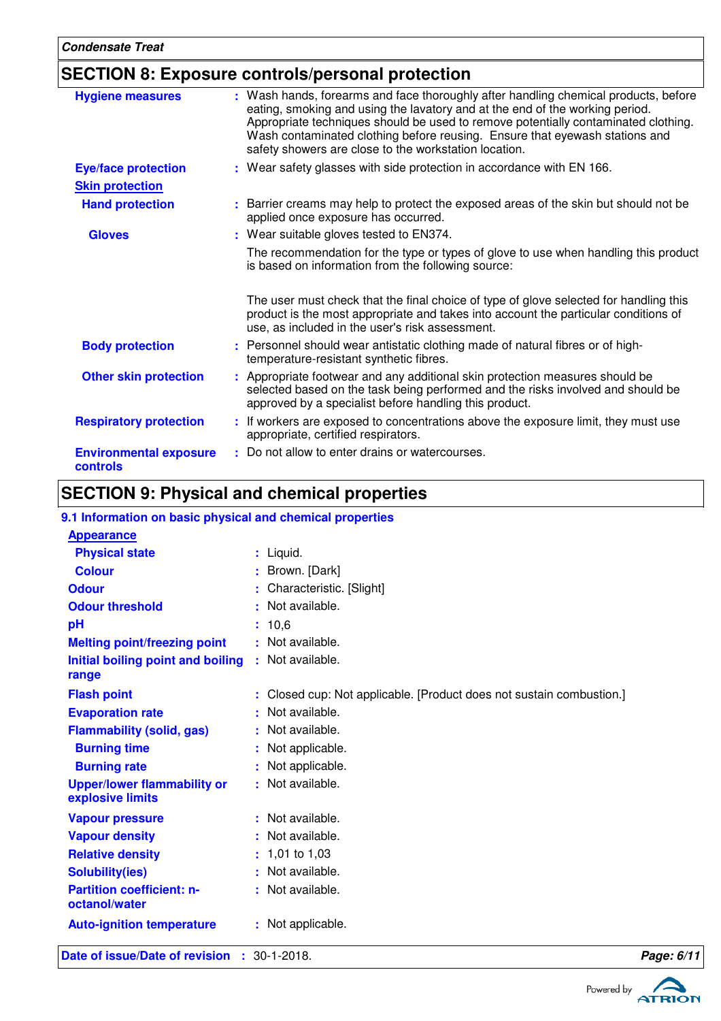# **SECTION 8: Exposure controls/personal protection**

| <b>Hygiene measures</b>                          | : Wash hands, forearms and face thoroughly after handling chemical products, before<br>eating, smoking and using the lavatory and at the end of the working period.<br>Appropriate techniques should be used to remove potentially contaminated clothing.<br>Wash contaminated clothing before reusing. Ensure that eyewash stations and<br>safety showers are close to the workstation location. |
|--------------------------------------------------|---------------------------------------------------------------------------------------------------------------------------------------------------------------------------------------------------------------------------------------------------------------------------------------------------------------------------------------------------------------------------------------------------|
| <b>Eye/face protection</b>                       | : Wear safety glasses with side protection in accordance with EN 166.                                                                                                                                                                                                                                                                                                                             |
| <b>Skin protection</b>                           |                                                                                                                                                                                                                                                                                                                                                                                                   |
| <b>Hand protection</b>                           | : Barrier creams may help to protect the exposed areas of the skin but should not be<br>applied once exposure has occurred.                                                                                                                                                                                                                                                                       |
| <b>Gloves</b>                                    | : Wear suitable gloves tested to EN374.                                                                                                                                                                                                                                                                                                                                                           |
|                                                  | The recommendation for the type or types of glove to use when handling this product<br>is based on information from the following source:                                                                                                                                                                                                                                                         |
|                                                  | The user must check that the final choice of type of glove selected for handling this<br>product is the most appropriate and takes into account the particular conditions of<br>use, as included in the user's risk assessment.                                                                                                                                                                   |
| <b>Body protection</b>                           | : Personnel should wear antistatic clothing made of natural fibres or of high-<br>temperature-resistant synthetic fibres.                                                                                                                                                                                                                                                                         |
| <b>Other skin protection</b>                     | : Appropriate footwear and any additional skin protection measures should be<br>selected based on the task being performed and the risks involved and should be<br>approved by a specialist before handling this product.                                                                                                                                                                         |
| <b>Respiratory protection</b>                    | : If workers are exposed to concentrations above the exposure limit, they must use<br>appropriate, certified respirators.                                                                                                                                                                                                                                                                         |
| <b>Environmental exposure</b><br><b>controls</b> | : Do not allow to enter drains or watercourses.                                                                                                                                                                                                                                                                                                                                                   |

# **SECTION 9: Physical and chemical properties**

### **9.1 Information on basic physical and chemical properties**

| Date of issue/Date of revision : 30-1-2018.            |                                                                      | Page: 6/11 |
|--------------------------------------------------------|----------------------------------------------------------------------|------------|
| <b>Auto-ignition temperature</b>                       | : Not applicable.                                                    |            |
| octanol/water                                          | : Not available.                                                     |            |
| <b>Partition coefficient: n-</b>                       |                                                                      |            |
| <b>Solubility(ies)</b>                                 | : Not available.                                                     |            |
| <b>Relative density</b>                                | $: 1,01$ to 1,03                                                     |            |
| <b>Vapour density</b>                                  | : Not available.                                                     |            |
| <b>Vapour pressure</b>                                 | : Not available.                                                     |            |
| <b>Upper/lower flammability or</b><br>explosive limits | : Not available.                                                     |            |
| <b>Burning rate</b>                                    | : Not applicable.                                                    |            |
| <b>Burning time</b>                                    | : Not applicable.                                                    |            |
| <b>Flammability (solid, gas)</b>                       | : Not available.                                                     |            |
| <b>Evaporation rate</b>                                | : Not available.                                                     |            |
| <b>Flash point</b>                                     | : Closed cup: Not applicable. [Product does not sustain combustion.] |            |
| range                                                  |                                                                      |            |
| <b>Initial boiling point and boiling</b>               | : Not available.                                                     |            |
| <b>Melting point/freezing point</b>                    | : Not available.                                                     |            |
| pH                                                     | : 10,6                                                               |            |
| <b>Odour threshold</b>                                 | : Not available.                                                     |            |
| <b>Odour</b>                                           | : Characteristic. [Slight]                                           |            |
| <b>Colour</b>                                          | : Brown. [Dark]                                                      |            |
| <b>Physical state</b>                                  | : Liquid.                                                            |            |
| <b>Appearance</b>                                      |                                                                      |            |
|                                                        |                                                                      |            |

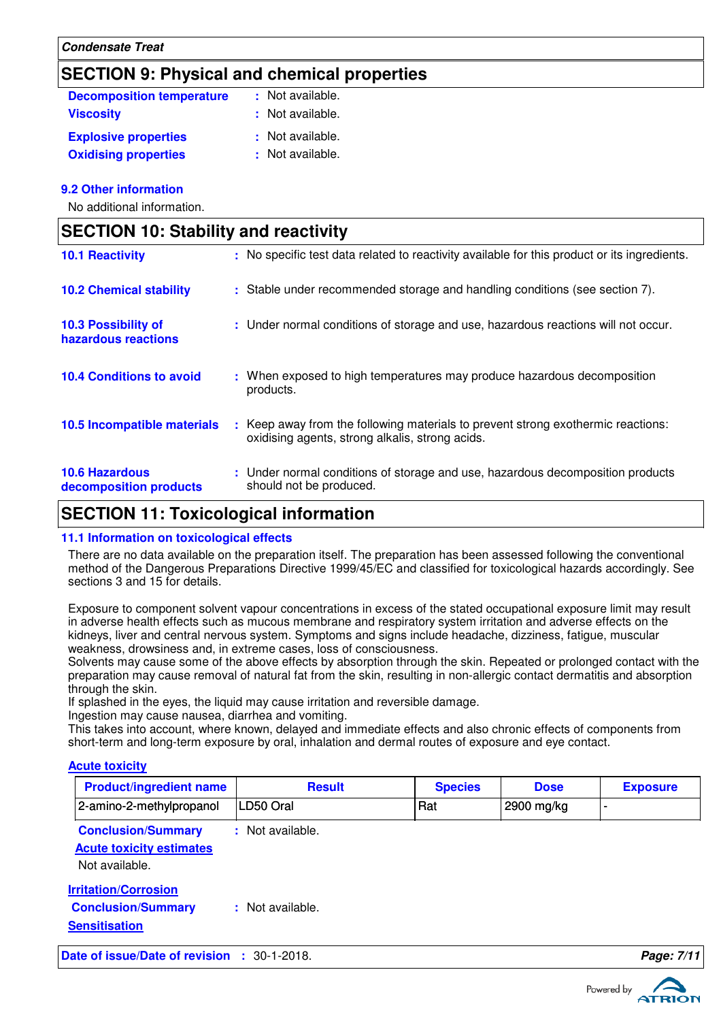# **SECTION 9: Physical and chemical properties**

| <b>Decomposition temperature</b> | : Not available. |
|----------------------------------|------------------|
| <b>Viscosity</b>                 | : Not available. |
| <b>Explosive properties</b>      | : Not available. |
| <b>Oxidising properties</b>      | : Not available. |

### **9.2 Other information**

No additional information.

| <b>SECTION 10: Stability and reactivity</b>     |  |                                                                                                                                   |  |
|-------------------------------------------------|--|-----------------------------------------------------------------------------------------------------------------------------------|--|
| <b>10.1 Reactivity</b>                          |  | : No specific test data related to reactivity available for this product or its ingredients.                                      |  |
| <b>10.2 Chemical stability</b>                  |  | : Stable under recommended storage and handling conditions (see section 7).                                                       |  |
| 10.3 Possibility of<br>hazardous reactions      |  | : Under normal conditions of storage and use, hazardous reactions will not occur.                                                 |  |
| <b>10.4 Conditions to avoid</b>                 |  | : When exposed to high temperatures may produce hazardous decomposition<br>products.                                              |  |
| 10.5 Incompatible materials                     |  | Keep away from the following materials to prevent strong exothermic reactions:<br>oxidising agents, strong alkalis, strong acids. |  |
| <b>10.6 Hazardous</b><br>decomposition products |  | : Under normal conditions of storage and use, hazardous decomposition products<br>should not be produced.                         |  |

### **SECTION 11: Toxicological information**

### **11.1 Information on toxicological effects**

There are no data available on the preparation itself. The preparation has been assessed following the conventional method of the Dangerous Preparations Directive 1999/45/EC and classified for toxicological hazards accordingly. See sections 3 and 15 for details.

Exposure to component solvent vapour concentrations in excess of the stated occupational exposure limit may result in adverse health effects such as mucous membrane and respiratory system irritation and adverse effects on the kidneys, liver and central nervous system. Symptoms and signs include headache, dizziness, fatigue, muscular weakness, drowsiness and, in extreme cases, loss of consciousness.

Solvents may cause some of the above effects by absorption through the skin. Repeated or prolonged contact with the preparation may cause removal of natural fat from the skin, resulting in non-allergic contact dermatitis and absorption through the skin.

If splashed in the eyes, the liquid may cause irritation and reversible damage.

Ingestion may cause nausea, diarrhea and vomiting.

This takes into account, where known, delayed and immediate effects and also chronic effects of components from short-term and long-term exposure by oral, inhalation and dermal routes of exposure and eye contact.

### **Acute toxicity**

| <b>Product/ingredient name</b> | <b>Result</b>  | <b>Species</b> | <b>Dose</b> | <b>Exposure</b> |
|--------------------------------|----------------|----------------|-------------|-----------------|
| 2-amino-2-methylpropanol       | LD50 Oral      | Rat            | 2900 mg/kg  |                 |
| <b>Conclusion/Summary</b>      | Not available. |                |             |                 |

### **Acute toxicity estimates**

Not available.

**Irritation/Corrosion Conclusion/Summary :** Not available. **Sensitisation**

**Date of issue/Date of revision :** 30-1-2018. **Page: 7/11**

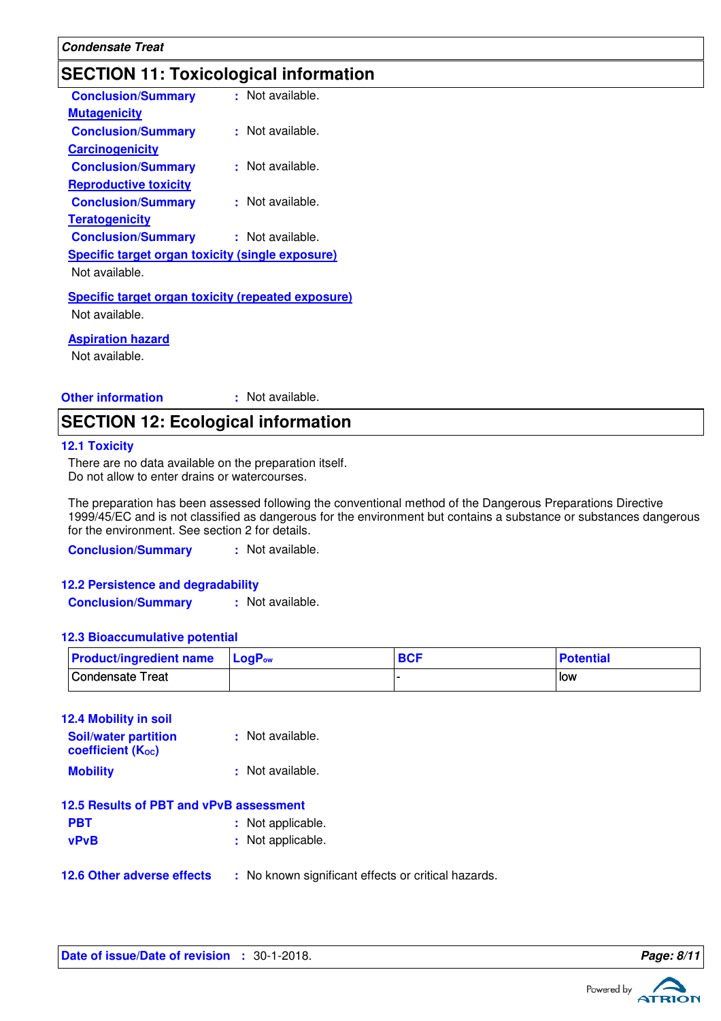# **SECTION 11: Toxicological information**

| <b>Conclusion/Summary</b>                                                   | : Not available.     |
|-----------------------------------------------------------------------------|----------------------|
| <b>Mutagenicity</b>                                                         |                      |
| <b>Conclusion/Summary</b>                                                   | $\pm$ Not available. |
| <b>Carcinogenicity</b>                                                      |                      |
| <b>Conclusion/Summary</b>                                                   | : Not available.     |
| <b>Reproductive toxicity</b>                                                |                      |
| <b>Conclusion/Summary</b>                                                   | $\pm$ Not available. |
| <b>Teratogenicity</b>                                                       |                      |
| <b>Conclusion/Summary</b>                                                   | : Not available.     |
| Specific target organ toxicity (single exposure)                            |                      |
| Not available.                                                              |                      |
| <b>Specific target organ toxicity (repeated exposure)</b><br>Not available. |                      |
|                                                                             |                      |
|                                                                             |                      |

**Aspiration hazard**

Not available.

**Other information :**

: Not available.

### **SECTION 12: Ecological information**

### **12.1 Toxicity**

There are no data available on the preparation itself. Do not allow to enter drains or watercourses.

The preparation has been assessed following the conventional method of the Dangerous Preparations Directive 1999/45/EC and is not classified as dangerous for the environment but contains a substance or substances dangerous for the environment. See section 2 for details.

**Conclusion/Summary :** Not available.

**12.2 Persistence and degradability Conclusion/Summary :** Not available.

### **12.3 Bioaccumulative potential**

| <b>Product/ingredient name</b> LogP <sub>ow</sub> | <b>BCF</b> | <b>Potential</b> |
|---------------------------------------------------|------------|------------------|
| Condensate Treat                                  |            | l low            |

| <b>12.4 Mobility in soil</b>                     |                  |
|--------------------------------------------------|------------------|
| <b>Soil/water partition</b><br>coefficient (Koc) | : Not available. |
| <b>Mobility</b>                                  | : Not available. |

| <b>PBT</b>    | : Not applicable.         |
|---------------|---------------------------|
| $\sim$ $\sim$ | Alberta and Provident and |

- **vPvB** : Not applicable.
- **12.6 Other adverse effects** : No known significant effects or critical hazards.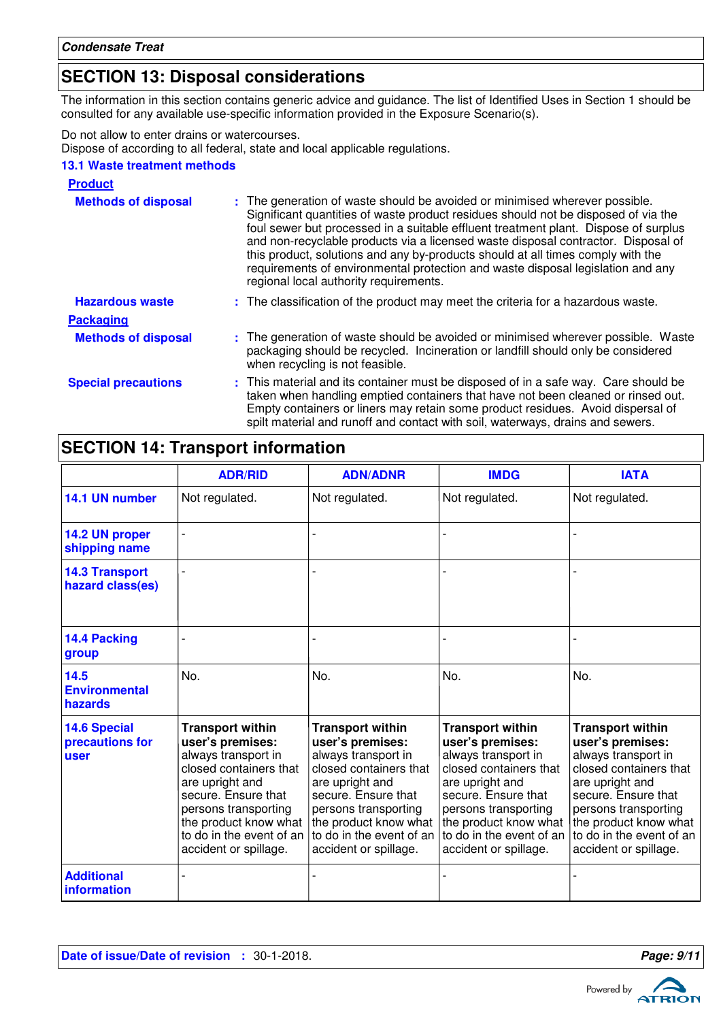# **SECTION 13: Disposal considerations**

The information in this section contains generic advice and guidance. The list of Identified Uses in Section 1 should be consulted for any available use-specific information provided in the Exposure Scenario(s).

Do not allow to enter drains or watercourses.

Dispose of according to all federal, state and local applicable regulations.

### **13.1 Waste treatment methods**

| <b>Product</b>             |                                                                                                                                                                                                                                                                                                                                                                                                                                                                                                                                                               |
|----------------------------|---------------------------------------------------------------------------------------------------------------------------------------------------------------------------------------------------------------------------------------------------------------------------------------------------------------------------------------------------------------------------------------------------------------------------------------------------------------------------------------------------------------------------------------------------------------|
| <b>Methods of disposal</b> | : The generation of waste should be avoided or minimised wherever possible.<br>Significant quantities of waste product residues should not be disposed of via the<br>foul sewer but processed in a suitable effluent treatment plant. Dispose of surplus<br>and non-recyclable products via a licensed waste disposal contractor. Disposal of<br>this product, solutions and any by-products should at all times comply with the<br>requirements of environmental protection and waste disposal legislation and any<br>regional local authority requirements. |
| <b>Hazardous waste</b>     | : The classification of the product may meet the criteria for a hazardous waste.                                                                                                                                                                                                                                                                                                                                                                                                                                                                              |
| <b>Packaging</b>           |                                                                                                                                                                                                                                                                                                                                                                                                                                                                                                                                                               |
| <b>Methods of disposal</b> | : The generation of waste should be avoided or minimised wherever possible. Waste<br>packaging should be recycled. Incineration or landfill should only be considered<br>when recycling is not feasible.                                                                                                                                                                                                                                                                                                                                                      |
| <b>Special precautions</b> | : This material and its container must be disposed of in a safe way. Care should be<br>taken when handling emptied containers that have not been cleaned or rinsed out.<br>Empty containers or liners may retain some product residues. Avoid dispersal of<br>spilt material and runoff and contact with soil, waterways, drains and sewers.                                                                                                                                                                                                                  |

# **SECTION 14: Transport information**

|                                                | <b>ADR/RID</b>                                                                                                                                                                                                                               | <b>ADN/ADNR</b>                                                                                                                                                                                                                              | <b>IMDG</b>                                                                                                                                                                                                                                  | <b>IATA</b>                                                                                                                                                                                                                                  |
|------------------------------------------------|----------------------------------------------------------------------------------------------------------------------------------------------------------------------------------------------------------------------------------------------|----------------------------------------------------------------------------------------------------------------------------------------------------------------------------------------------------------------------------------------------|----------------------------------------------------------------------------------------------------------------------------------------------------------------------------------------------------------------------------------------------|----------------------------------------------------------------------------------------------------------------------------------------------------------------------------------------------------------------------------------------------|
| 14.1 UN number                                 | Not regulated.                                                                                                                                                                                                                               | Not regulated.                                                                                                                                                                                                                               | Not regulated.                                                                                                                                                                                                                               | Not regulated.                                                                                                                                                                                                                               |
| 14.2 UN proper<br>shipping name                | $\overline{a}$                                                                                                                                                                                                                               |                                                                                                                                                                                                                                              |                                                                                                                                                                                                                                              |                                                                                                                                                                                                                                              |
| <b>14.3 Transport</b><br>hazard class(es)      |                                                                                                                                                                                                                                              |                                                                                                                                                                                                                                              |                                                                                                                                                                                                                                              |                                                                                                                                                                                                                                              |
| 14.4 Packing<br>group                          |                                                                                                                                                                                                                                              |                                                                                                                                                                                                                                              |                                                                                                                                                                                                                                              |                                                                                                                                                                                                                                              |
| 14.5<br><b>Environmental</b><br>hazards        | No.                                                                                                                                                                                                                                          | No.                                                                                                                                                                                                                                          | No.                                                                                                                                                                                                                                          | No.                                                                                                                                                                                                                                          |
| <b>14.6 Special</b><br>precautions for<br>user | <b>Transport within</b><br>user's premises:<br>always transport in<br>closed containers that<br>are upright and<br>secure. Ensure that<br>persons transporting<br>the product know what<br>to do in the event of an<br>accident or spillage. | <b>Transport within</b><br>user's premises:<br>always transport in<br>closed containers that<br>are upright and<br>secure. Ensure that<br>persons transporting<br>the product know what<br>to do in the event of an<br>accident or spillage. | <b>Transport within</b><br>user's premises:<br>always transport in<br>closed containers that<br>are upright and<br>secure. Ensure that<br>persons transporting<br>the product know what<br>to do in the event of an<br>accident or spillage. | <b>Transport within</b><br>user's premises:<br>always transport in<br>closed containers that<br>are upright and<br>secure. Ensure that<br>persons transporting<br>the product know what<br>to do in the event of an<br>accident or spillage. |
| <b>Additional</b><br>information               |                                                                                                                                                                                                                                              |                                                                                                                                                                                                                                              |                                                                                                                                                                                                                                              |                                                                                                                                                                                                                                              |

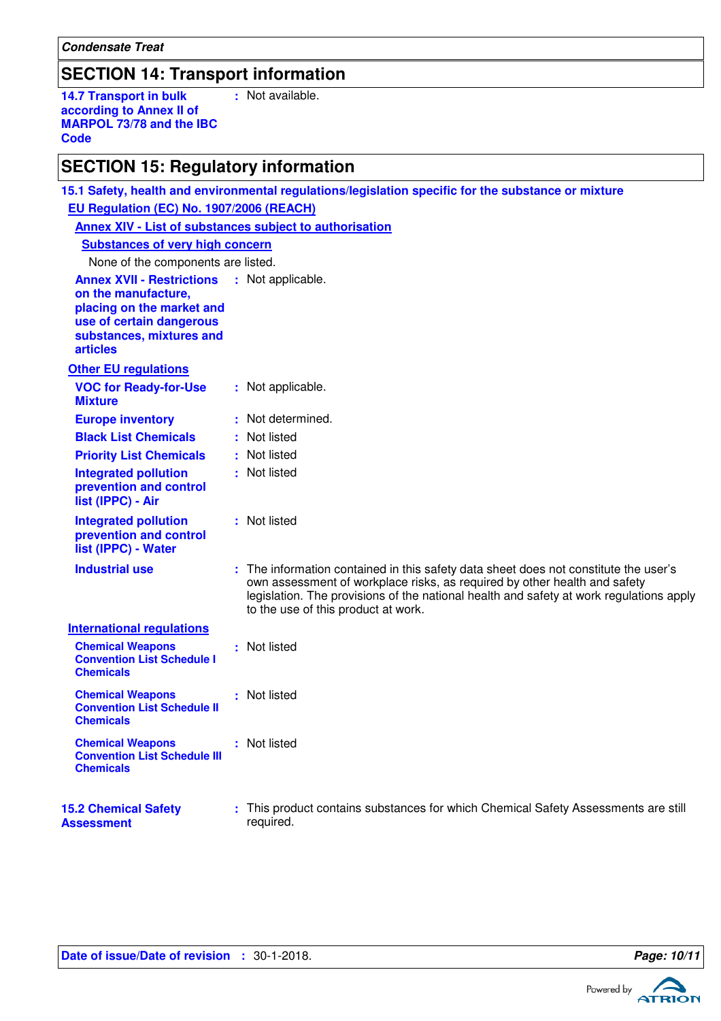**Condensate Treat**

# **SECTION 14: Transport information**

**14.7 Transport in bulk according to Annex II of MARPOL 73/78 and the IBC Code :** Not available.

# **SECTION 15: Regulatory information**

| EU Regulation (EC) No. 1907/2006 (REACH)                                                                                                                        |  |                                                                                                                                                                                                                                                                                                     |  |  |
|-----------------------------------------------------------------------------------------------------------------------------------------------------------------|--|-----------------------------------------------------------------------------------------------------------------------------------------------------------------------------------------------------------------------------------------------------------------------------------------------------|--|--|
| Annex XIV - List of substances subject to authorisation                                                                                                         |  |                                                                                                                                                                                                                                                                                                     |  |  |
| <b>Substances of very high concern</b>                                                                                                                          |  |                                                                                                                                                                                                                                                                                                     |  |  |
| None of the components are listed.                                                                                                                              |  |                                                                                                                                                                                                                                                                                                     |  |  |
| <b>Annex XVII - Restrictions</b><br>on the manufacture,<br>placing on the market and<br>use of certain dangerous<br>substances, mixtures and<br><b>articles</b> |  | : Not applicable.                                                                                                                                                                                                                                                                                   |  |  |
| <b>Other EU regulations</b>                                                                                                                                     |  |                                                                                                                                                                                                                                                                                                     |  |  |
| <b>VOC for Ready-for-Use</b><br><b>Mixture</b>                                                                                                                  |  | : Not applicable.                                                                                                                                                                                                                                                                                   |  |  |
| <b>Europe inventory</b>                                                                                                                                         |  | : Not determined.                                                                                                                                                                                                                                                                                   |  |  |
| <b>Black List Chemicals</b>                                                                                                                                     |  | : Not listed                                                                                                                                                                                                                                                                                        |  |  |
| <b>Priority List Chemicals</b>                                                                                                                                  |  | : Not listed                                                                                                                                                                                                                                                                                        |  |  |
| <b>Integrated pollution</b><br>prevention and control<br>list (IPPC) - Air                                                                                      |  | : Not listed                                                                                                                                                                                                                                                                                        |  |  |
| <b>Integrated pollution</b><br>prevention and control<br>list (IPPC) - Water                                                                                    |  | : Not listed                                                                                                                                                                                                                                                                                        |  |  |
| <b>Industrial use</b>                                                                                                                                           |  | : The information contained in this safety data sheet does not constitute the user's<br>own assessment of workplace risks, as required by other health and safety<br>legislation. The provisions of the national health and safety at work regulations apply<br>to the use of this product at work. |  |  |
| <b>International regulations</b>                                                                                                                                |  |                                                                                                                                                                                                                                                                                                     |  |  |
| <b>Chemical Weapons</b><br><b>Convention List Schedule I</b><br><b>Chemicals</b>                                                                                |  | : Not listed                                                                                                                                                                                                                                                                                        |  |  |
| <b>Chemical Weapons</b><br><b>Convention List Schedule II</b><br><b>Chemicals</b>                                                                               |  | : Not listed                                                                                                                                                                                                                                                                                        |  |  |
| <b>Chemical Weapons</b><br><b>Convention List Schedule III</b><br><b>Chemicals</b>                                                                              |  | : Not listed                                                                                                                                                                                                                                                                                        |  |  |
| <b>15.2 Chemical Safety</b><br>Assessment                                                                                                                       |  | : This product contains substances for which Chemical Safety Assessments are still<br>required.                                                                                                                                                                                                     |  |  |

**15.1 Safety, health and environmental regulations/legislation specific for the substance or mixture**